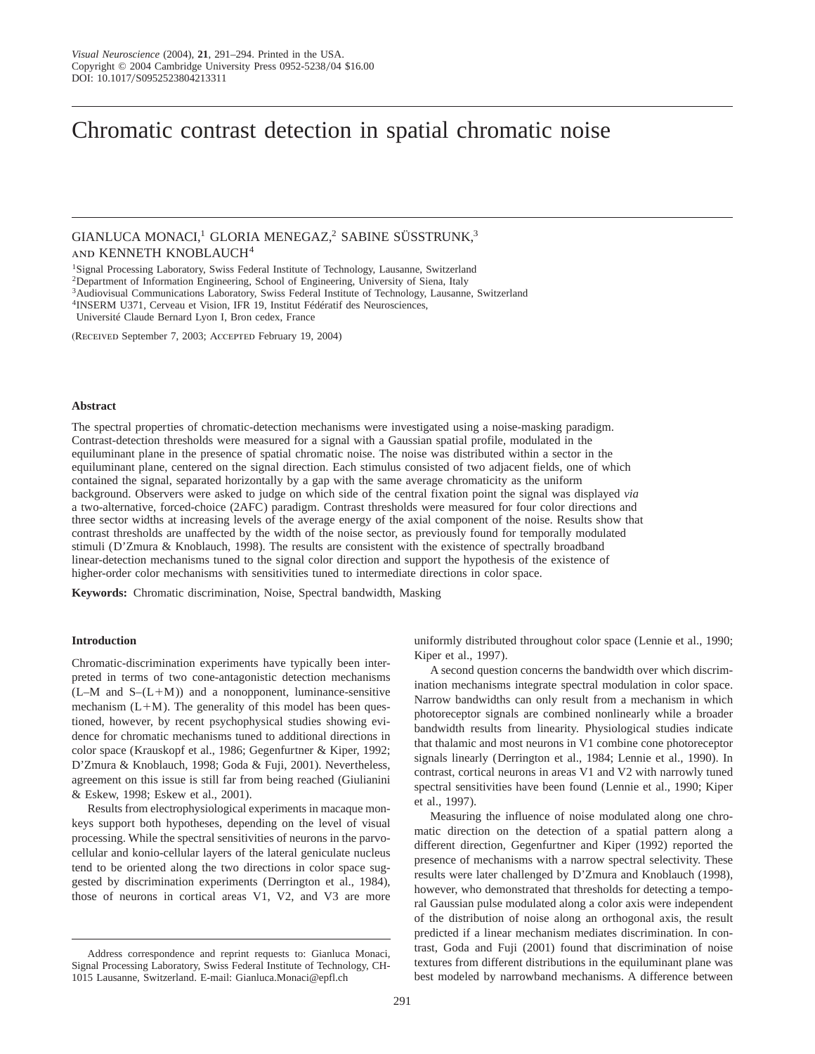# Chromatic contrast detection in spatial chromatic noise

GIANLUCA MONACI,<sup>1</sup> GLORIA MENEGAZ,<sup>2</sup> SABINE SÜSSTRUNK,<sup>3</sup> and KENNETH KNOBLAUCH<sup>4</sup>

<sup>1</sup>Signal Processing Laboratory, Swiss Federal Institute of Technology, Lausanne, Switzerland

<sup>2</sup>Department of Information Engineering, School of Engineering, University of Siena, Italy

3Audiovisual Communications Laboratory, Swiss Federal Institute of Technology, Lausanne, Switzerland

<sup>4</sup>INSERM U371, Cerveau et Vision, IFR 19, Institut Fédératif des Neurosciences,

Université Claude Bernard Lyon I, Bron cedex, France

(Received September 7, 2003; Accepted February 19, 2004)

#### **Abstract**

The spectral properties of chromatic-detection mechanisms were investigated using a noise-masking paradigm. Contrast-detection thresholds were measured for a signal with a Gaussian spatial profile, modulated in the equiluminant plane in the presence of spatial chromatic noise. The noise was distributed within a sector in the equiluminant plane, centered on the signal direction. Each stimulus consisted of two adjacent fields, one of which contained the signal, separated horizontally by a gap with the same average chromaticity as the uniform background. Observers were asked to judge on which side of the central fixation point the signal was displayed *via* a two-alternative, forced-choice (2AFC) paradigm. Contrast thresholds were measured for four color directions and three sector widths at increasing levels of the average energy of the axial component of the noise. Results show that contrast thresholds are unaffected by the width of the noise sector, as previously found for temporally modulated stimuli (D'Zmura & Knoblauch, 1998). The results are consistent with the existence of spectrally broadband linear-detection mechanisms tuned to the signal color direction and support the hypothesis of the existence of higher-order color mechanisms with sensitivities tuned to intermediate directions in color space.

**Keywords:** Chromatic discrimination, Noise, Spectral bandwidth, Masking

### **Introduction**

Chromatic-discrimination experiments have typically been interpreted in terms of two cone-antagonistic detection mechanisms  $(L-M$  and  $S-(L+M)$  and a nonopponent, luminance-sensitive mechanism  $(L+M)$ . The generality of this model has been questioned, however, by recent psychophysical studies showing evidence for chromatic mechanisms tuned to additional directions in color space (Krauskopf et al., 1986; Gegenfurtner & Kiper, 1992; D'Zmura & Knoblauch, 1998; Goda & Fuji, 2001). Nevertheless, agreement on this issue is still far from being reached (Giulianini & Eskew, 1998; Eskew et al., 2001).

Results from electrophysiological experiments in macaque monkeys support both hypotheses, depending on the level of visual processing. While the spectral sensitivities of neurons in the parvocellular and konio-cellular layers of the lateral geniculate nucleus tend to be oriented along the two directions in color space suggested by discrimination experiments (Derrington et al., 1984), those of neurons in cortical areas V1, V2, and V3 are more uniformly distributed throughout color space (Lennie et al., 1990; Kiper et al., 1997).

A second question concerns the bandwidth over which discrimination mechanisms integrate spectral modulation in color space. Narrow bandwidths can only result from a mechanism in which photoreceptor signals are combined nonlinearly while a broader bandwidth results from linearity. Physiological studies indicate that thalamic and most neurons in V1 combine cone photoreceptor signals linearly (Derrington et al., 1984; Lennie et al., 1990). In contrast, cortical neurons in areas V1 and V2 with narrowly tuned spectral sensitivities have been found (Lennie et al., 1990; Kiper et al., 1997).

Measuring the influence of noise modulated along one chromatic direction on the detection of a spatial pattern along a different direction, Gegenfurtner and Kiper (1992) reported the presence of mechanisms with a narrow spectral selectivity. These results were later challenged by D'Zmura and Knoblauch (1998), however, who demonstrated that thresholds for detecting a temporal Gaussian pulse modulated along a color axis were independent of the distribution of noise along an orthogonal axis, the result predicted if a linear mechanism mediates discrimination. In contrast, Goda and Fuji (2001) found that discrimination of noise textures from different distributions in the equiluminant plane was best modeled by narrowband mechanisms. A difference between

Address correspondence and reprint requests to: Gianluca Monaci, Signal Processing Laboratory, Swiss Federal Institute of Technology, CH-1015 Lausanne, Switzerland. E-mail: Gianluca.Monaci@epfl.ch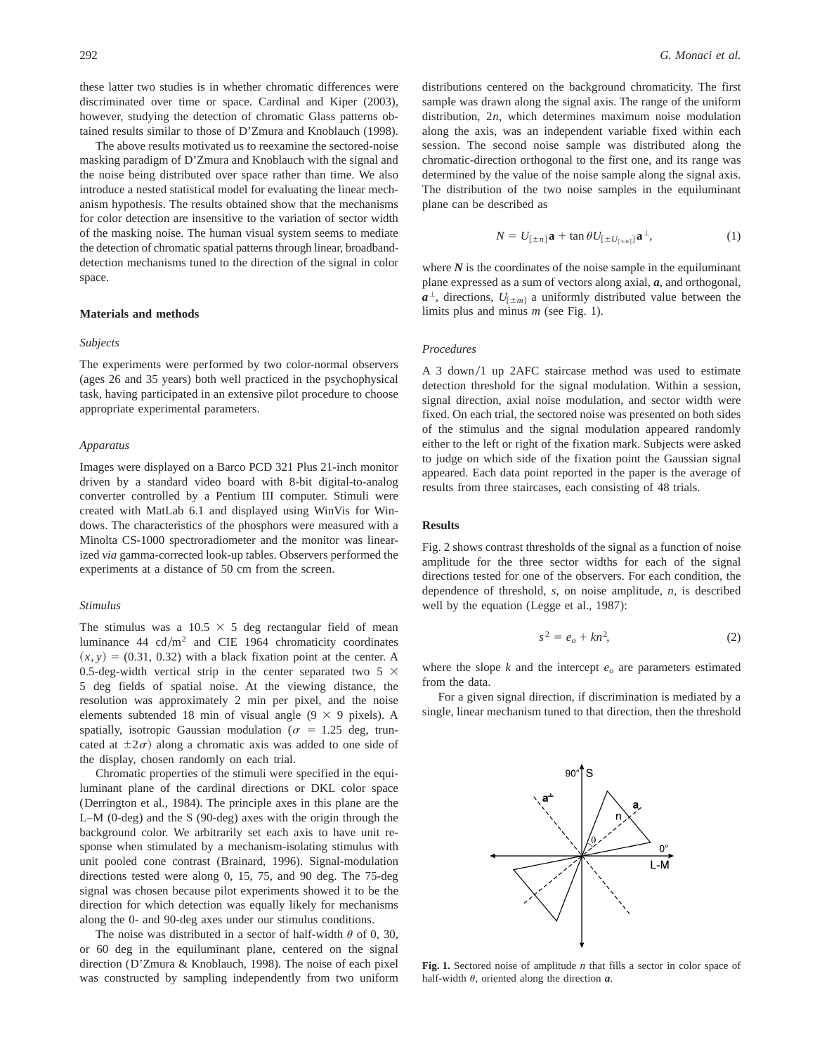these latter two studies is in whether chromatic differences were discriminated over time or space. Cardinal and Kiper (2003), however, studying the detection of chromatic Glass patterns obtained results similar to those of D'Zmura and Knoblauch (1998).

The above results motivated us to reexamine the sectored-noise masking paradigm of D'Zmura and Knoblauch with the signal and the noise being distributed over space rather than time. We also introduce a nested statistical model for evaluating the linear mechanism hypothesis. The results obtained show that the mechanisms for color detection are insensitive to the variation of sector width of the masking noise. The human visual system seems to mediate the detection of chromatic spatial patterns through linear, broadbanddetection mechanisms tuned to the direction of the signal in color space.

### **Materials and methods**

#### *Subjects*

The experiments were performed by two color-normal observers (ages 26 and 35 years) both well practiced in the psychophysical task, having participated in an extensive pilot procedure to choose appropriate experimental parameters.

#### *Apparatus*

Images were displayed on a Barco PCD 321 Plus 21-inch monitor driven by a standard video board with 8-bit digital-to-analog converter controlled by a Pentium III computer. Stimuli were created with MatLab 6.1 and displayed using WinVis for Windows. The characteristics of the phosphors were measured with a Minolta CS-1000 spectroradiometer and the monitor was linearized *via* gamma-corrected look-up tables. Observers performed the experiments at a distance of 50 cm from the screen.

#### *Stimulus*

The stimulus was a 10.5  $\times$  5 deg rectangular field of mean luminance 44  $\text{cd/m}^2$  and CIE 1964 chromaticity coordinates  $(x, y) = (0.31, 0.32)$  with a black fixation point at the center. A 0.5-deg-width vertical strip in the center separated two 5  $\times$ 5 deg fields of spatial noise. At the viewing distance, the resolution was approximately 2 min per pixel, and the noise elements subtended 18 min of visual angle  $(9 \times 9)$  pixels). A spatially, isotropic Gaussian modulation ( $\sigma = 1.25$  deg, truncated at  $\pm 2\sigma$ ) along a chromatic axis was added to one side of the display, chosen randomly on each trial.

Chromatic properties of the stimuli were specified in the equiluminant plane of the cardinal directions or DKL color space (Derrington et al., 1984). The principle axes in this plane are the L–M (0-deg) and the S (90-deg) axes with the origin through the background color. We arbitrarily set each axis to have unit response when stimulated by a mechanism-isolating stimulus with unit pooled cone contrast (Brainard, 1996). Signal-modulation directions tested were along 0, 15, 75, and 90 deg. The 75-deg signal was chosen because pilot experiments showed it to be the direction for which detection was equally likely for mechanisms along the 0- and 90-deg axes under our stimulus conditions.

The noise was distributed in a sector of half-width  $\theta$  of 0, 30, or 60 deg in the equiluminant plane, centered on the signal direction (D'Zmura & Knoblauch, 1998). The noise of each pixel was constructed by sampling independently from two uniform distributions centered on the background chromaticity. The first sample was drawn along the signal axis. The range of the uniform distribution, 2*n*, which determines maximum noise modulation along the axis, was an independent variable fixed within each session. The second noise sample was distributed along the chromatic-direction orthogonal to the first one, and its range was determined by the value of the noise sample along the signal axis. The distribution of the two noise samples in the equiluminant plane can be described as

$$
N = U_{\left[\pm n\right]} \mathbf{a} + \tan \theta U_{\left[\pm U_{\left[\pm n\right]}\right]} \mathbf{a}^{\perp},\tag{1}
$$

where  $N$  is the coordinates of the noise sample in the equiluminant plane expressed as a sum of vectors along axial, *a*, and orthogonal,  $a^{\perp}$ , directions,  $U_{[\pm m]}$  a uniformly distributed value between the limits plus and minus *m* (see Fig. 1).

## *Procedures*

A 3 down/1 up 2AFC staircase method was used to estimate detection threshold for the signal modulation. Within a session, signal direction, axial noise modulation, and sector width were fixed. On each trial, the sectored noise was presented on both sides of the stimulus and the signal modulation appeared randomly either to the left or right of the fixation mark. Subjects were asked to judge on which side of the fixation point the Gaussian signal appeared. Each data point reported in the paper is the average of results from three staircases, each consisting of 48 trials.

## **Results**

Fig. 2 shows contrast thresholds of the signal as a function of noise amplitude for the three sector widths for each of the signal directions tested for one of the observers. For each condition, the dependence of threshold, *s*, on noise amplitude, *n*, is described well by the equation (Legge et al., 1987):

$$
s^2 = e_o + kn^2,\tag{2}
$$

where the slope  $k$  and the intercept  $e<sub>o</sub>$  are parameters estimated from the data.

For a given signal direction, if discrimination is mediated by a single, linear mechanism tuned to that direction, then the threshold



**Fig. 1.** Sectored noise of amplitude *n* that fills a sector in color space of half-width  $\theta$ , oriented along the direction  $\boldsymbol{a}$ .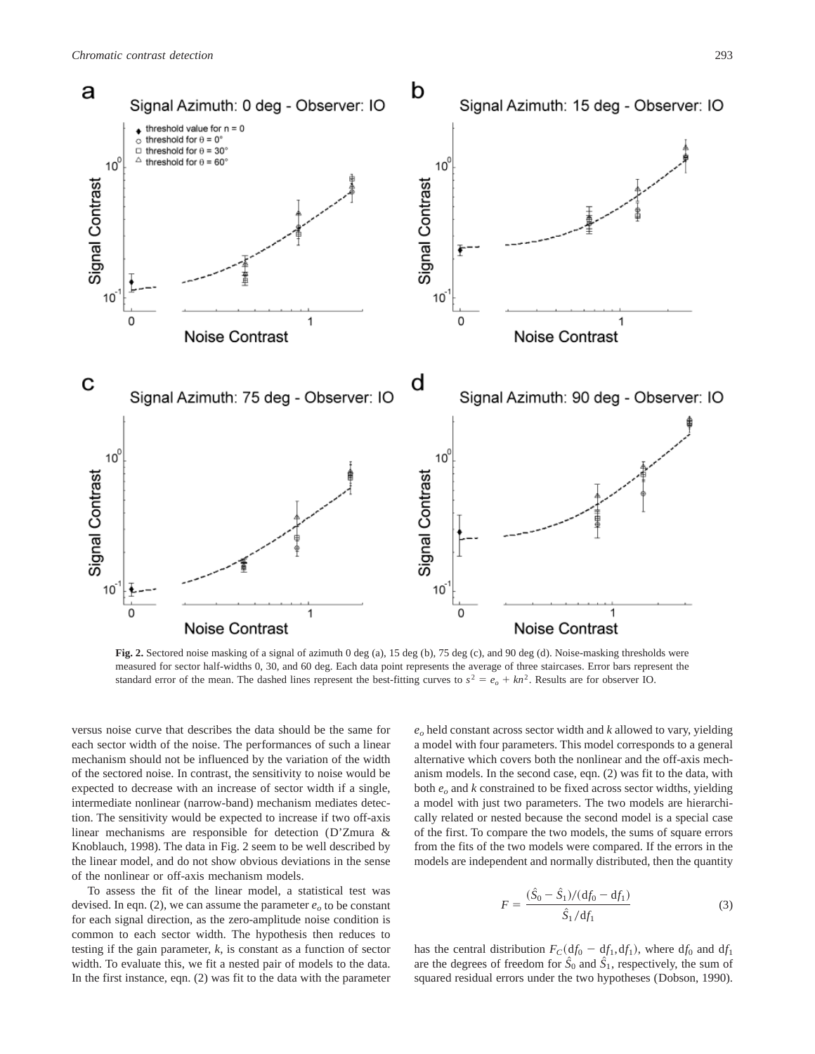

Fig. 2. Sectored noise masking of a signal of azimuth 0 deg (a), 15 deg (b), 75 deg (c), and 90 deg (d). Noise-masking thresholds were measured for sector half-widths 0, 30, and 60 deg. Each data point represents the average of three staircases. Error bars represent the standard error of the mean. The dashed lines represent the best-fitting curves to  $s^2 = e_0 + kn^2$ . Results are for observer IO.

versus noise curve that describes the data should be the same for each sector width of the noise. The performances of such a linear mechanism should not be influenced by the variation of the width of the sectored noise. In contrast, the sensitivity to noise would be expected to decrease with an increase of sector width if a single, intermediate nonlinear (narrow-band) mechanism mediates detection. The sensitivity would be expected to increase if two off-axis linear mechanisms are responsible for detection (D'Zmura & Knoblauch, 1998). The data in Fig. 2 seem to be well described by the linear model, and do not show obvious deviations in the sense of the nonlinear or off-axis mechanism models.

To assess the fit of the linear model, a statistical test was devised. In eqn. (2), we can assume the parameter  $e<sub>o</sub>$  to be constant for each signal direction, as the zero-amplitude noise condition is common to each sector width. The hypothesis then reduces to testing if the gain parameter, *k*, is constant as a function of sector width. To evaluate this, we fit a nested pair of models to the data. In the first instance, eqn. (2) was fit to the data with the parameter

 $e<sub>o</sub>$  held constant across sector width and  $k$  allowed to vary, yielding a model with four parameters. This model corresponds to a general alternative which covers both the nonlinear and the off-axis mechanism models. In the second case, eqn. (2) was fit to the data, with both *eo* and *k* constrained to be fixed across sector widths, yielding a model with just two parameters. The two models are hierarchically related or nested because the second model is a special case of the first. To compare the two models, the sums of square errors from the fits of the two models were compared. If the errors in the models are independent and normally distributed, then the quantity

$$
F = \frac{(\hat{S}_0 - \hat{S}_1)/(df_0 - df_1)}{\hat{S}_1/df_1}
$$
 (3)

has the central distribution  $F_C(d f_0 - df_1, df_1)$ , where  $df_0$  and  $df_1$ are the degrees of freedom for  $\ddot{S}_0$  and  $\ddot{S}_1$ , respectively, the sum of squared residual errors under the two hypotheses (Dobson, 1990).